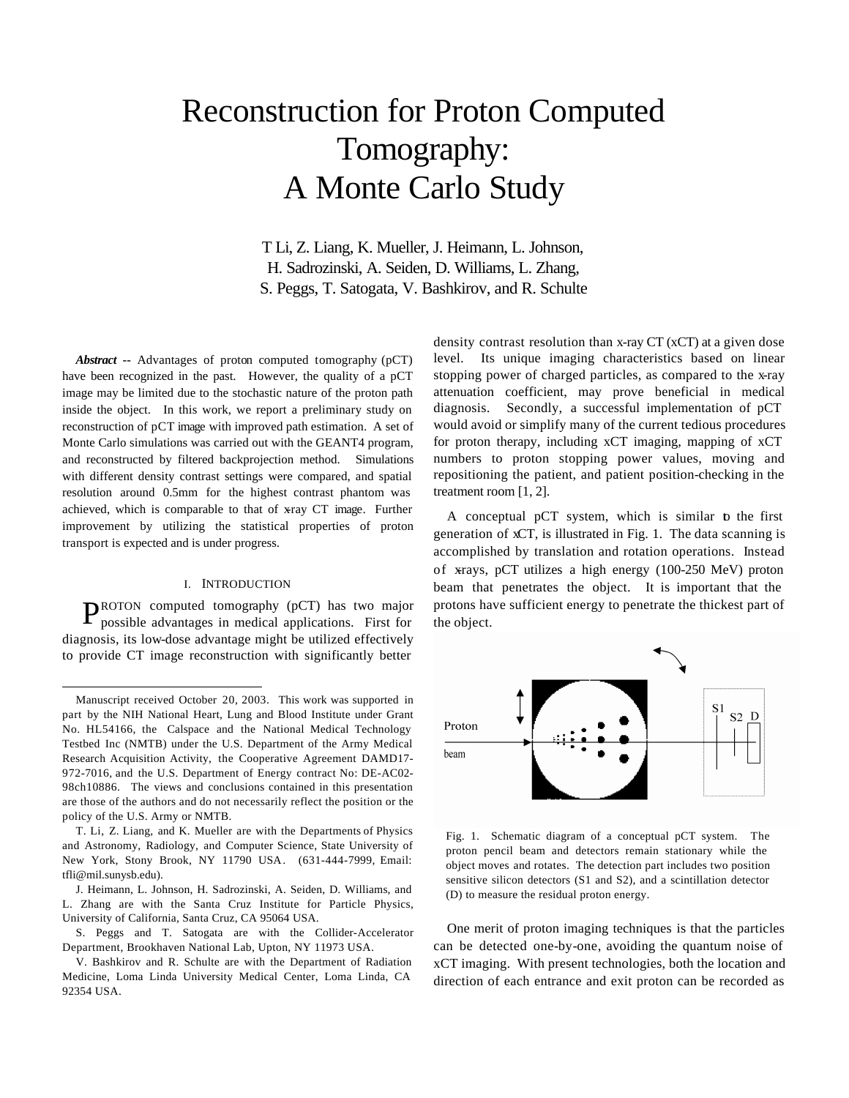# Reconstruction for Proton Computed Tomography: A Monte Carlo Study

T Li, Z. Liang, K. Mueller, J. Heimann, L. Johnson, H. Sadrozinski, A. Seiden, D. Williams, L. Zhang, S. Peggs, T. Satogata, V. Bashkirov, and R. Schulte

*Abstract* **--** Advantages of proton computed tomography (pCT) have been recognized in the past. However, the quality of a pCT image may be limited due to the stochastic nature of the proton path inside the object. In this work, we report a preliminary study on reconstruction of pCT image with improved path estimation. A set of Monte Carlo simulations was carried out with the GEANT4 program, and reconstructed by filtered backprojection method. Simulations with different density contrast settings were compared, and spatial resolution around 0.5mm for the highest contrast phantom was achieved, which is comparable to that of x-ray CT image. Further improvement by utilizing the statistical properties of proton transport is expected and is under progress.

#### I. INTRODUCTION

PROTON computed tomography (pCT) has two major<br>possible advantages in medical applications. First for possible advantages in medical applications. First for diagnosis, its low-dose advantage might be utilized effectively to provide CT image reconstruction with significantly better

l

density contrast resolution than x-ray CT (xCT) at a given dose level. Its unique imaging characteristics based on linear stopping power of charged particles, as compared to the x-ray attenuation coefficient, may prove beneficial in medical diagnosis. Secondly, a successful implementation of pCT would avoid or simplify many of the current tedious procedures for proton therapy, including xCT imaging, mapping of xCT numbers to proton stopping power values, moving and repositioning the patient, and patient position-checking in the treatment room [1, 2].

A conceptual pCT system, which is similar to the first generation of xCT, is illustrated in Fig. 1. The data scanning is accomplished by translation and rotation operations. Instead of xrays, pCT utilizes a high energy (100-250 MeV) proton beam that penetrates the object. It is important that the protons have sufficient energy to penetrate the thickest part of the object.



Fig. 1. Schematic diagram of a conceptual pCT system. The proton pencil beam and detectors remain stationary while the object moves and rotates. The detection part includes two position sensitive silicon detectors (S1 and S2), and a scintillation detector (D) to measure the residual proton energy.

One merit of proton imaging techniques is that the particles can be detected one-by-one, avoiding the quantum noise of xCT imaging. With present technologies, both the location and direction of each entrance and exit proton can be recorded as

Manuscript received October 20, 2003. This work was supported in part by the NIH National Heart, Lung and Blood Institute under Grant No. HL54166, the Calspace and the National Medical Technology Testbed Inc (NMTB) under the U.S. Department of the Army Medical Research Acquisition Activity, the Cooperative Agreement DAMD17- 972-7016, and the U.S. Department of Energy contract No: DE-AC02- 98ch10886. The views and conclusions contained in this presentation are those of the authors and do not necessarily reflect the position or the policy of the U.S. Army or NMTB.

T. Li, Z. Liang, and K. Mueller are with the Departments of Physics and Astronomy, Radiology, and Computer Science, State University of New York, Stony Brook, NY 11790 USA. (631-444-7999, Email: tfli@mil.sunysb.edu).

J. Heimann, L. Johnson, H. Sadrozinski, A. Seiden, D. Williams, and L. Zhang are with the Santa Cruz Institute for Particle Physics, University of California, Santa Cruz, CA 95064 USA.

S. Peggs and T. Satogata are with the Collider-Accelerator Department, Brookhaven National Lab, Upton, NY 11973 USA.

V. Bashkirov and R. Schulte are with the Department of Radiation Medicine, Loma Linda University Medical Center, Loma Linda, CA 92354 USA.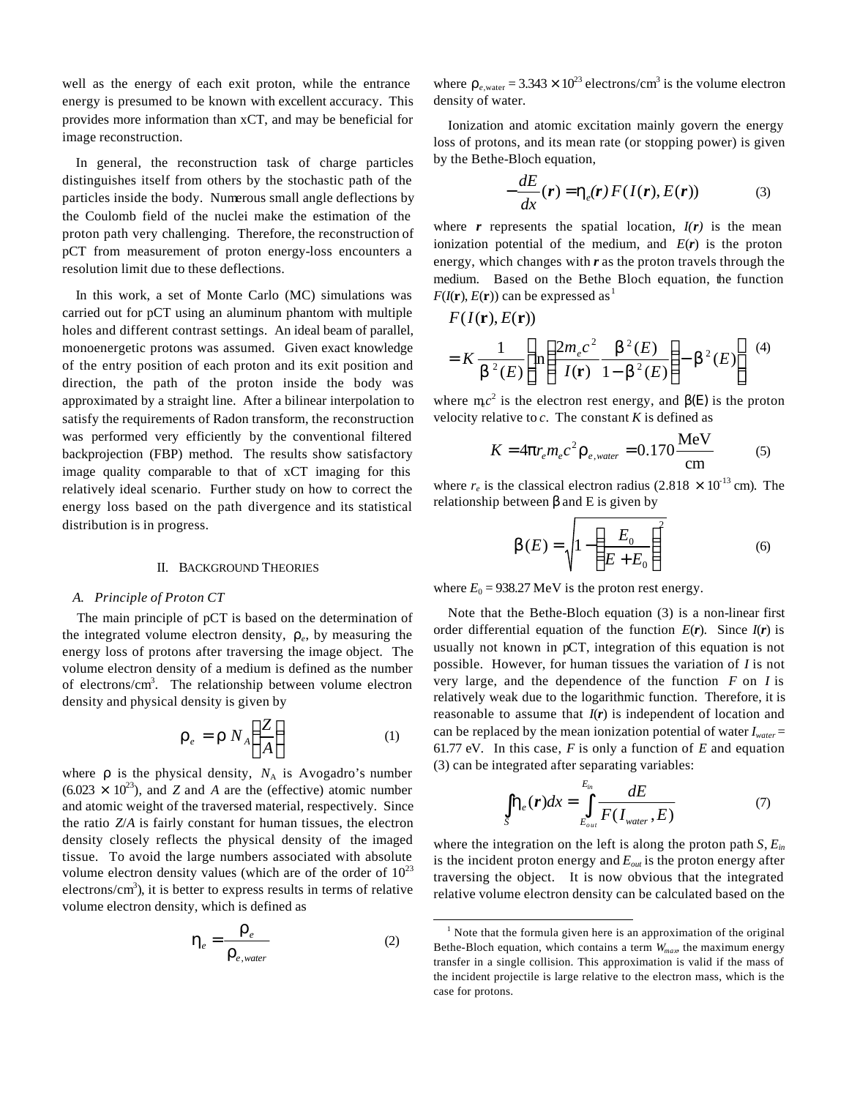well as the energy of each exit proton, while the entrance energy is presumed to be known with excellent accuracy. This provides more information than xCT, and may be beneficial for image reconstruction.

In general, the reconstruction task of charge particles distinguishes itself from others by the stochastic path of the particles inside the body. Numerous small angle deflections by the Coulomb field of the nuclei make the estimation of the proton path very challenging. Therefore, the reconstruction of pCT from measurement of proton energy-loss encounters a resolution limit due to these deflections.

In this work, a set of Monte Carlo (MC) simulations was carried out for pCT using an aluminum phantom with multiple holes and different contrast settings. An ideal beam of parallel, monoenergetic protons was assumed. Given exact knowledge of the entry position of each proton and its exit position and direction, the path of the proton inside the body was approximated by a straight line. After a bilinear interpolation to satisfy the requirements of Radon transform, the reconstruction was performed very efficiently by the conventional filtered backprojection (FBP) method. The results show satisfactory image quality comparable to that of xCT imaging for this relatively ideal scenario. Further study on how to correct the energy loss based on the path divergence and its statistical distribution is in progress.

#### II. BACKGROUND THEORIES

#### *A. Principle of Proton CT*

The main principle of pCT is based on the determination of the integrated volume electron density, *r<sup>e</sup>* , by measuring the energy loss of protons after traversing the image object. The volume electron density of a medium is defined as the number of electrons/cm<sup>3</sup>. The relationship between volume electron density and physical density is given by

$$
\boldsymbol{r}_e = \boldsymbol{r} \, N_A \bigg( \frac{Z}{A} \bigg) \tag{1}
$$

where  $r$  is the physical density,  $N_A$  is Avogadro's number  $(6.023 \times 10^{23})$ , and *Z* and *A* are the (effective) atomic number and atomic weight of the traversed material, respectively. Since the ratio *Z*/*A* is fairly constant for human tissues, the electron density closely reflects the physical density of the imaged tissue. To avoid the large numbers associated with absolute volume electron density values (which are of the order of  $10^{23}$ electrons/ $\text{cm}^3$ ), it is better to express results in terms of relative volume electron density, which is defined as

$$
\boldsymbol{h}_e = \frac{\boldsymbol{r}_e}{\boldsymbol{r}_{e,water}}\tag{2}
$$

l

where  $r_{e, \text{water}} = 3.343 \times 10^{23}$  electrons/cm<sup>3</sup> is the volume electron density of water.

Ionization and atomic excitation mainly govern the energy loss of protons, and its mean rate (or stopping power) is given by the Bethe-Bloch equation,

$$
-\frac{dE}{dx}(\mathbf{r}) = \mathbf{h}_e(\mathbf{r}) F(I(\mathbf{r}), E(\mathbf{r}))
$$
 (3)

where  $r$  represents the spatial location,  $I(r)$  is the mean ionization potential of the medium, and *E*(*r*) is the proton energy, which changes with *r* as the proton travels through the medium. Based on the Bethe Bloch equation, the function  $F(I(\mathbf{r}), E(\mathbf{r}))$  can be expressed as <sup>1</sup>

$$
F(I(\mathbf{r}), E(\mathbf{r}))
$$
  
=  $K \frac{1}{\mathbf{b}^2(E)} \left[ \ln \left( \frac{2m_e c^2}{I(\mathbf{r})} \frac{\mathbf{b}^2(E)}{1 - \mathbf{b}^2(E)} \right) - \mathbf{b}^2(E) \right]$  (4)

where  $mc^2$  is the electron rest energy, and  $\mathbf{b}(E)$  is the proton velocity relative to  $c$ . The constant  $K$  is defined as

$$
K = 4\mathbf{p}r_e m_e c^2 \mathbf{r}_{e, water} = 0.170 \frac{\text{MeV}}{\text{cm}}
$$
 (5)

where  $r_e$  is the classical electron radius (2.818  $\times$  10<sup>-13</sup> cm). The relationship between *b* and E is given by

$$
\boldsymbol{b}(E) = \sqrt{1 - \left(\frac{E_0}{E + E_0}\right)^2} \tag{6}
$$

where  $E_0 = 938.27$  MeV is the proton rest energy.

Note that the Bethe-Bloch equation (3) is a non-linear first order differential equation of the function  $E(r)$ . Since  $I(r)$  is usually not known in pCT, integration of this equation is not possible. However, for human tissues the variation of *I* is not very large, and the dependence of the function *F* on *I* is relatively weak due to the logarithmic function. Therefore, it is reasonable to assume that *I*(*r*) is independent of location and can be replaced by the mean ionization potential of water *Iwater* = 61.77 eV. In this case, *F* is only a function of *E* and equation (3) can be integrated after separating variables:

$$
\int_{S} \mathbf{h}_{e}(\mathbf{r}) dx = \int_{E_{out}}^{E_{in}} \frac{dE}{F(I_{water}, E)}
$$
\n(7)

where the integration on the left is along the proton path  $S$ ,  $E_{in}$ is the incident proton energy and *Eout* is the proton energy after traversing the object. It is now obvious that the integrated relative volume electron density can be calculated based on the

 $<sup>1</sup>$  Note that the formula given here is an approximation of the original</sup> Bethe-Bloch equation, which contains a term  $W_{max}$ , the maximum energy transfer in a single collision. This approximation is valid if the mass of the incident projectile is large relative to the electron mass, which is the case for protons.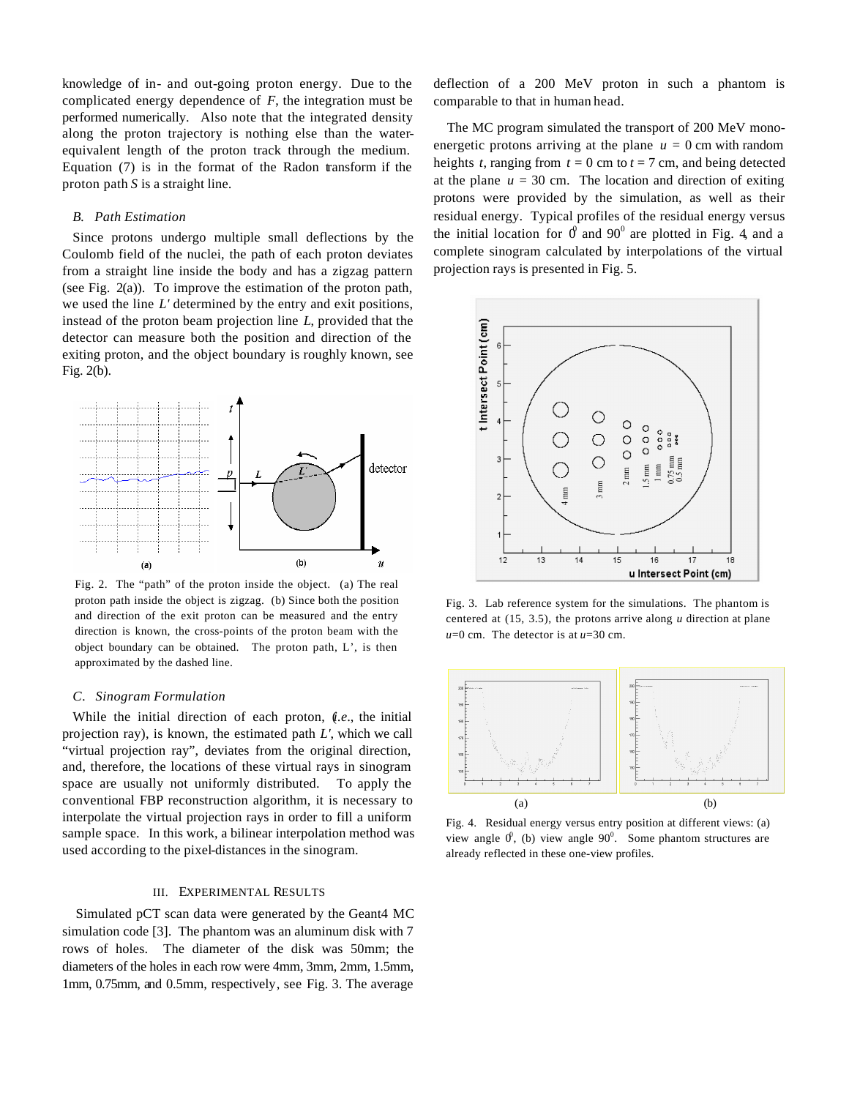knowledge of in- and out-going proton energy. Due to the complicated energy dependence of *F*, the integration must be performed numerically. Also note that the integrated density along the proton trajectory is nothing else than the waterequivalent length of the proton track through the medium. Equation (7) is in the format of the Radon transform if the proton path *S* is a straight line.

## *B. Path Estimation*

Since protons undergo multiple small deflections by the Coulomb field of the nuclei, the path of each proton deviates from a straight line inside the body and has a zigzag pattern (see Fig. 2(a)). To improve the estimation of the proton path, we used the line *L'* determined by the entry and exit positions, instead of the proton beam projection line *L*, provided that the detector can measure both the position and direction of the exiting proton, and the object boundary is roughly known, see Fig. 2(b).



Fig. 2. The "path" of the proton inside the object. (a) The real proton path inside the object is zigzag. (b) Since both the position and direction of the exit proton can be measured and the entry direction is known, the cross-points of the proton beam with the object boundary can be obtained. The proton path, L', is then approximated by the dashed line.

#### *C. Sinogram Formulation*

While the initial direction of each proton, (*i.e*., the initial projection ray), is known, the estimated path *L'*, which we call "virtual projection ray", deviates from the original direction, and, therefore, the locations of these virtual rays in sinogram space are usually not uniformly distributed. To apply the conventional FBP reconstruction algorithm, it is necessary to interpolate the virtual projection rays in order to fill a uniform sample space. In this work, a bilinear interpolation method was used according to the pixel-distances in the sinogram.

## III. EXPERIMENTAL RESULTS

Simulated pCT scan data were generated by the Geant4 MC simulation code [3]. The phantom was an aluminum disk with 7 rows of holes. The diameter of the disk was 50mm; the diameters of the holes in each row were 4mm, 3mm, 2mm, 1.5mm, 1mm, 0.75mm, and 0.5mm, respectively, see Fig. 3. The average

deflection of a 200 MeV proton in such a phantom is comparable to that in human head.

The MC program simulated the transport of 200 MeV monoenergetic protons arriving at the plane  $u = 0$  cm with random heights *t*, ranging from  $t = 0$  cm to  $t = 7$  cm, and being detected at the plane  $u = 30$  cm. The location and direction of exiting protons were provided by the simulation, as well as their residual energy. Typical profiles of the residual energy versus the initial location for  $\theta$  and  $90^{\circ}$  are plotted in Fig. 4, and a complete sinogram calculated by interpolations of the virtual projection rays is presented in Fig. 5.



Fig. 3. Lab reference system for the simulations. The phantom is centered at (15, 3.5), the protons arrive along *u* direction at plane *u*=0 cm. The detector is at *u*=30 cm.



Fig. 4. Residual energy versus entry position at different views: (a) view angle  $0^0$ , (b) view angle  $90^0$ . Some phantom structures are already reflected in these one-view profiles.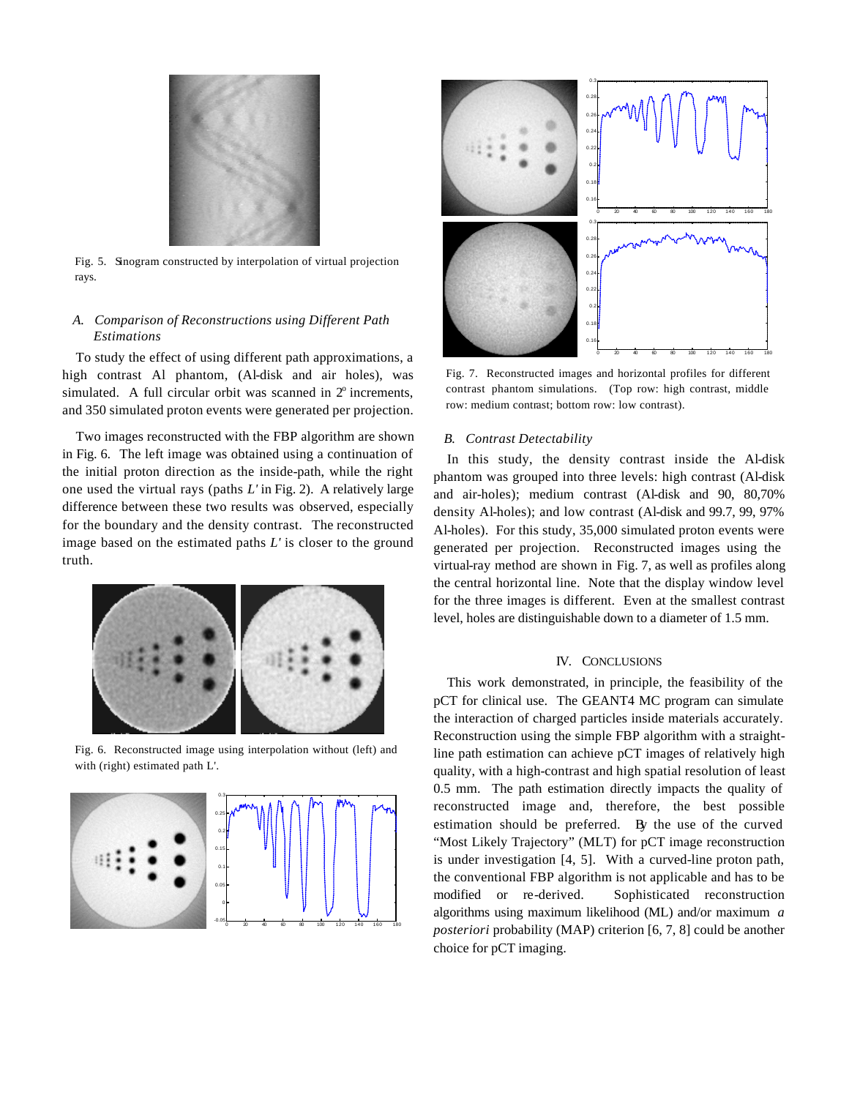

Fig. 5. Sinogram constructed by interpolation of virtual projection rays.

## *A. Comparison of Reconstructions using Different Path Estimations*

To study the effect of using different path approximations, a high contrast Al phantom, (Al-disk and air holes), was simulated. A full circular orbit was scanned in  $2^\circ$  increments, and 350 simulated proton events were generated per projection.

Two images reconstructed with the FBP algorithm are shown in Fig. 6. The left image was obtained using a continuation of the initial proton direction as the inside-path, while the right one used the virtual rays (paths *L'* in Fig. 2). A relatively large difference between these two results was observed, especially for the boundary and the density contrast. The reconstructed image based on the estimated paths *L'* is closer to the ground truth.



Fig. 6. Reconstructed image using interpolation without (left) and with (right) estimated path L'.





Fig. 7. Reconstructed images and horizontal profiles for different contrast phantom simulations. (Top row: high contrast, middle row: medium contrast; bottom row: low contrast).

## *B. Contrast Detectability*

In this study, the density contrast inside the Al-disk phantom was grouped into three levels: high contrast (Al-disk and air-holes); medium contrast (Al-disk and 90, 80,70% density Al-holes); and low contrast (Al-disk and 99.7, 99, 97% Al-holes). For this study, 35,000 simulated proton events were generated per projection. Reconstructed images using the virtual-ray method are shown in Fig. 7, as well as profiles along the central horizontal line. Note that the display window level for the three images is different. Even at the smallest contrast level, holes are distinguishable down to a diameter of 1.5 mm.

#### IV. CONCLUSIONS

This work demonstrated, in principle, the feasibility of the pCT for clinical use. The GEANT4 MC program can simulate the interaction of charged particles inside materials accurately. Reconstruction using the simple FBP algorithm with a straightline path estimation can achieve pCT images of relatively high quality, with a high-contrast and high spatial resolution of least 0.5 mm. The path estimation directly impacts the quality of reconstructed image and, therefore, the best possible estimation should be preferred. By the use of the curved "Most Likely Trajectory" (MLT) for pCT image reconstruction is under investigation [4, 5]. With a curved-line proton path, the conventional FBP algorithm is not applicable and has to be modified or re-derived. Sophisticated reconstruction algorithms using maximum likelihood (ML) and/or maximum *a posteriori* probability (MAP) criterion [6, 7, 8] could be another choice for pCT imaging.